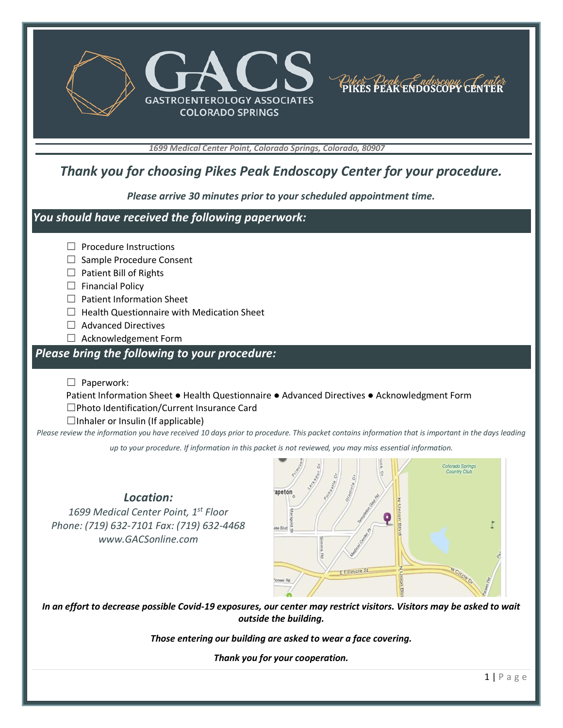



*1699 Medical Center Point, Colorado Springs, Colorado, 80907*

## *Thank you for choosing Pikes Peak Endoscopy Center for your procedure.*

*Please arrive 30 minutes prior to your scheduled appointment time.*

#### *You should have received the following paperwork:*

- □ Procedure Instructions
- □ Sample Procedure Consent
- □ Patient Bill of Rights
- $\Box$  Financial Policy
- ☐ Patient Information Sheet
- $\Box$  Health Questionnaire with Medication Sheet
- ☐ Advanced Directives
- ☐ Acknowledgement Form

#### *Please bring the following to your procedure:*

☐ Paperwork:

Patient Information Sheet ● Health Questionnaire ● Advanced Directives ● Acknowledgment Form ☐Photo Identification/Current Insurance Card

 $\Box$ Inhaler or Insulin (If applicable)

*Please review the information you have received 10 days prior to procedure. This packet contains information that is important in the days leading* 

*up to your procedure. If information in this packet is not reviewed, you may miss essential information.*

*Location: 1699 Medical Center Point, 1st Floor Phone: (719) 632-7101 Fax: (719) 632-4468 www.GACSonline.com*



*In an effort to decrease possible Covid-19 exposures, our center may restrict visitors. Visitors may be asked to wait outside the building.*

*Those entering our building are asked to wear a face covering.*

*Thank you for your cooperation.*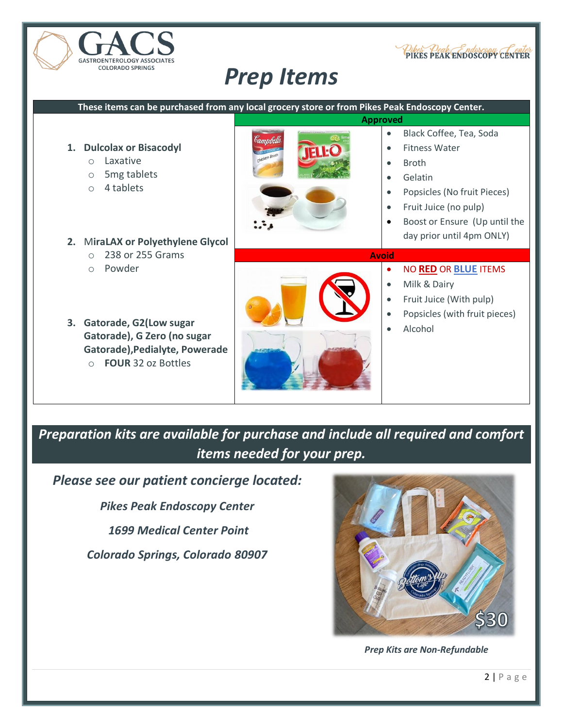

# *Prep Items*



## *Preparation kits are available for purchase and include all required and comfort items needed for your prep.*

*Please see our patient concierge located:*

*Pikes Peak Endoscopy Center*

*1699 Medical Center Point* 

*Colorado Springs, Colorado 80907*



PIKES PEAK ENDOSCOPY CENTER

*Prep Kits are Non-Refundable*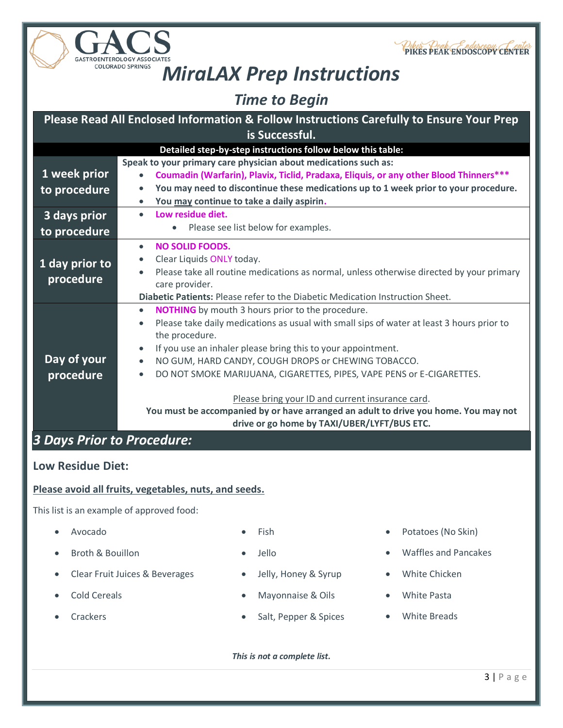



# *MiraLAX Prep Instructions*

*Time to Begin*

|                            | Please Read All Enclosed Information & Follow Instructions Carefully to Ensure Your Prep               |
|----------------------------|--------------------------------------------------------------------------------------------------------|
|                            | is Successful.                                                                                         |
|                            | Detailed step-by-step instructions follow below this table:                                            |
|                            | Speak to your primary care physician about medications such as:                                        |
| 1 week prior               | Coumadin (Warfarin), Plavix, Ticlid, Pradaxa, Eliquis, or any other Blood Thinners***<br>$\bullet$     |
| to procedure               | You may need to discontinue these medications up to 1 week prior to your procedure.<br>$\bullet$       |
|                            | You may continue to take a daily aspirin.<br>$\bullet$                                                 |
| 3 days prior               | Low residue diet.<br>$\bullet$                                                                         |
| to procedure               | Please see list below for examples.                                                                    |
|                            | <b>NO SOLID FOODS.</b><br>$\bullet$                                                                    |
| 1 day prior to             | Clear Liquids ONLY today.                                                                              |
| procedure                  | Please take all routine medications as normal, unless otherwise directed by your primary<br>$\bullet$  |
|                            | care provider.                                                                                         |
|                            | Diabetic Patients: Please refer to the Diabetic Medication Instruction Sheet.                          |
|                            | <b>NOTHING</b> by mouth 3 hours prior to the procedure.<br>$\bullet$                                   |
|                            | Please take daily medications as usual with small sips of water at least 3 hours prior to<br>$\bullet$ |
|                            | the procedure.                                                                                         |
|                            | If you use an inhaler please bring this to your appointment.<br>$\bullet$                              |
| Day of your                | NO GUM, HARD CANDY, COUGH DROPS or CHEWING TOBACCO.<br>$\bullet$                                       |
| procedure                  | DO NOT SMOKE MARIJUANA, CIGARETTES, PIPES, VAPE PENS or E-CIGARETTES.<br>$\bullet$                     |
|                            | Please bring your ID and current insurance card.                                                       |
|                            | You must be accompanied by or have arranged an adult to drive you home. You may not                    |
|                            | drive or go home by TAXI/UBER/LYFT/BUS ETC.                                                            |
| 3 Days Prior to Procedure: |                                                                                                        |
|                            |                                                                                                        |

### **Low Residue Diet:**

#### **Please avoid all fruits, vegetables, nuts, and seeds.**

This list is an example of approved food:

- 
- 
- Clear Fruit Juices & Beverages Jelly, Honey & Syrup White Chicken
- 
- 
- 
- 
- 
- Cold Cereals Mayonnaise & Oils White Pasta
- Crackers Salt, Pepper & Spices White Breads

*This is not a complete list.*

- Avocado **Fish** Fish Potatoes (No Skin)
	- Broth & Bouillon Jello Waffles and Pancakes
		-
		-
		-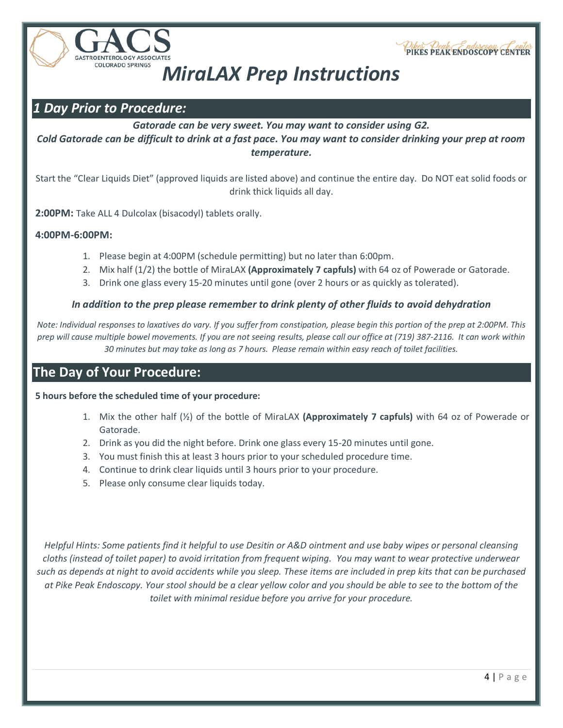



# *MiraLAX Prep Instructions*

## *1 Day Prior to Procedure:*

*Gatorade can be very sweet. You may want to consider using G2. Cold Gatorade can be difficult to drink at a fast pace. You may want to consider drinking your prep at room temperature.*

Start the "Clear Liquids Diet" (approved liquids are listed above) and continue the entire day. Do NOT eat solid foods or drink thick liquids all day.

**2:00PM:** Take ALL 4 Dulcolax (bisacodyl) tablets orally.

#### **4:00PM-6:00PM:**

- 1. Please begin at 4:00PM (schedule permitting) but no later than 6:00pm.
- 2. Mix half (1/2) the bottle of MiraLAX **(Approximately 7 capfuls)** with 64 oz of Powerade or Gatorade.
- 3. Drink one glass every 15-20 minutes until gone (over 2 hours or as quickly as tolerated).

#### *In addition to the prep please remember to drink plenty of other fluids to avoid dehydration*

*Note: Individual responses to laxatives do vary. If you suffer from constipation, please begin this portion of the prep at 2:00PM. This prep will cause multiple bowel movements. If you are not seeing results, please call our office at (719) 387-2116. It can work within 30 minutes but may take as long as 7 hours. Please remain within easy reach of toilet facilities.*

## **The Day of Your Procedure:**

**5 hours before the scheduled time of your procedure:** 

- 1. Mix the other half (½) of the bottle of MiraLAX **(Approximately 7 capfuls)** with 64 oz of Powerade or Gatorade.
- 2. Drink as you did the night before. Drink one glass every 15-20 minutes until gone.
- 3. You must finish this at least 3 hours prior to your scheduled procedure time.
- 4. Continue to drink clear liquids until 3 hours prior to your procedure.
- 5. Please only consume clear liquids today.

*Helpful Hints: Some patients find it helpful to use Desitin or A&D ointment and use baby wipes or personal cleansing cloths (instead of toilet paper) to avoid irritation from frequent wiping. You may want to wear protective underwear such as depends at night to avoid accidents while you sleep. These items are included in prep kits that can be purchased at Pike Peak Endoscopy. Your stool should be a clear yellow color and you should be able to see to the bottom of the toilet with minimal residue before you arrive for your procedure.*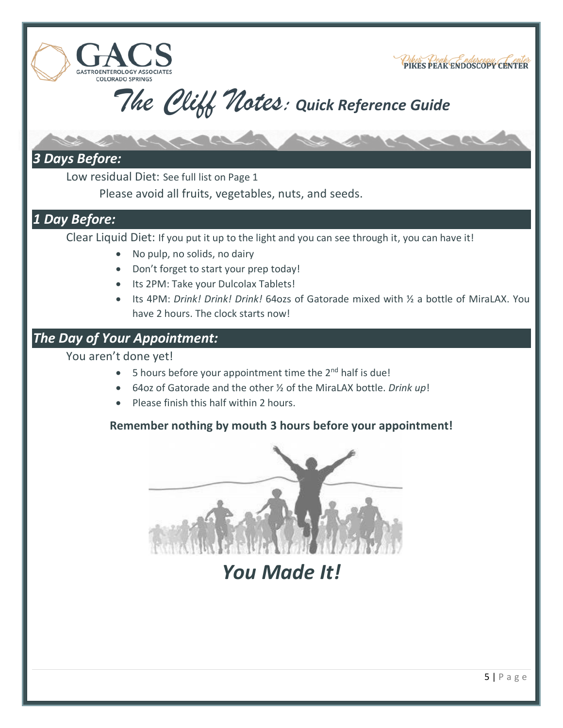



## *3 Days Before:*

**ASTROENTEROLOGY ASSO COLORADO SPRINGS** 

Low residual Diet: See full list on Page 1

Please avoid all fruits, vegetables, nuts, and seeds.

## *1 Day Before:*

Clear Liquid Diet: If you put it up to the light and you can see through it, you can have it!

- No pulp, no solids, no dairy
- Don't forget to start your prep today!
- Its 2PM: Take your Dulcolax Tablets!
- Its 4PM: *Drink! Drink! Drink!* 64ozs of Gatorade mixed with ½ a bottle of MiraLAX. You have 2 hours. The clock starts now!

## *The Day of Your Appointment:*

You aren't done yet!

- $\bullet$  5 hours before your appointment time the 2<sup>nd</sup> half is due!
- 64oz of Gatorade and the other ½ of the MiraLAX bottle. *Drink up*!
- Please finish this half within 2 hours.

## **Reme[mber nothing by mouth 3 hours before your appo](https://www.bing.com/images/search?view=detailV2&ccid=LBxT0WEs&id=21DFCC2BB58848726020E2C25A866454D3198B98&thid=OIP.LBxT0WEs_iDfLzDdGa9VhQHaEo&mediaurl=http://www.clipartkid.com/images/274/finishing-line-wlvHlt-clipart.jpg&exph=2100&expw=3360&q=finish+line)intment!**



*You Made It!*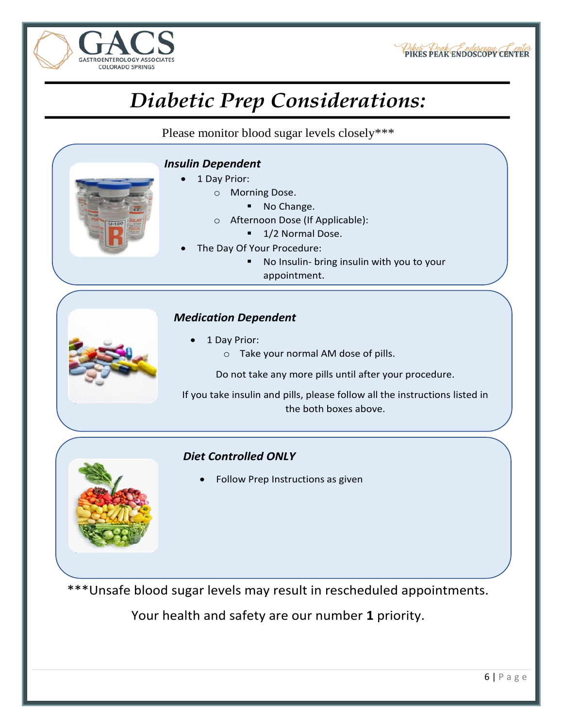



# *Diabetic Prep Considerations:*

Please monitor blood sugar levels closely\*\*\*

### *Insulin Dependent*

- • 1 Day Prior:
	- <sup>o</sup> Morning Dose.
		- ▪No Change.
	- <sup>o</sup> Afternoon Dose (If Applicable):
		- 1/2 Normal Dose.
- • The Day Of Your Procedure:
	- ▪ No Insulin- bring insulin with you to your appointment.

#### *Medication Dependent*

- • 1 Day Prior:
	- <sup>o</sup> Take your normal AM dose of pills.

Do not take any more pills until after your procedure.

If you take insulin and pills, please follow all the instructions listed in the both boxes above.

## *Diet Controlled ONLY*

•Follow Prep Instructions as given

\*\*\*Unsafe blood sugar levels may result in rescheduled appointments.

Your health and safety are our number **1** priority.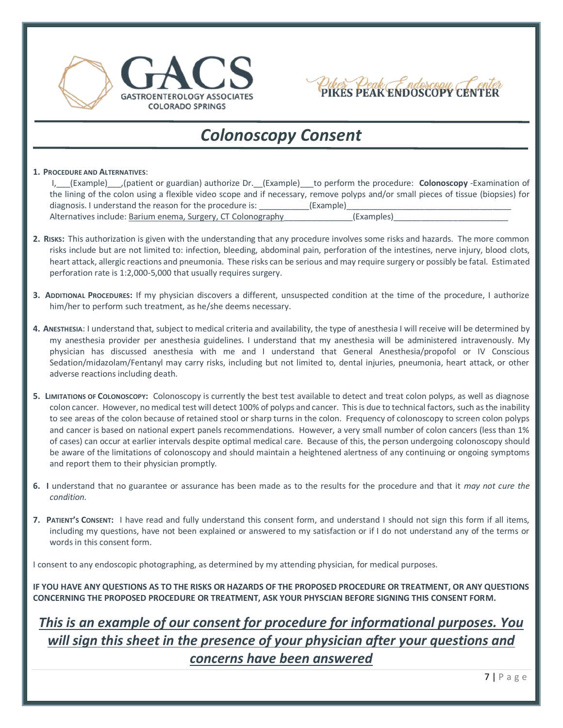



# *Colonoscopy Consent*

#### **1. PROCEDURE AND ALTERNATIVES**:

| I, (Example) (patient or guardian) authorize Dr. (Example) to perform the procedure: Colonoscopy -Examination of                  |            |
|-----------------------------------------------------------------------------------------------------------------------------------|------------|
| the lining of the colon using a flexible video scope and if necessary, remove polyps and/or small pieces of tissue (biopsies) for |            |
| diagnosis. I understand the reason for the procedure is:                                                                          | (Example)  |
| Alternatives include: Barium enema, Surgery, CT Colonography                                                                      | (Examples) |

- **2. RISKS:** This authorization is given with the understanding that any procedure involves some risks and hazards. The more common risks include but are not limited to: infection, bleeding, abdominal pain, perforation of the intestines, nerve injury, blood clots, heart attack, allergic reactions and pneumonia. These risks can be serious and may require surgery or possibly be fatal. Estimated perforation rate is 1:2,000-5,000 that usually requires surgery.
- **3. ADDITIONAL PROCEDURES:** If my physician discovers a different, unsuspected condition at the time of the procedure, I authorize him/her to perform such treatment, as he/she deems necessary.
- **4. ANESTHESIA**: I understand that, subject to medical criteria and availability, the type of anesthesia I will receive will be determined by my anesthesia provider per anesthesia guidelines. I understand that my anesthesia will be administered intravenously. My physician has discussed anesthesia with me and I understand that General Anesthesia/propofol or IV Conscious Sedation/midazolam/Fentanyl may carry risks, including but not limited to, dental injuries, pneumonia, heart attack, or other adverse reactions including death.
- **5. LIMITATIONS OF COLONOSCOPY:** Colonoscopy is currently the best test available to detect and treat colon polyps, as well as diagnose colon cancer. However, no medical test will detect 100% of polyps and cancer. This is due to technical factors, such as the inability to see areas of the colon because of retained stool or sharp turns in the colon. Frequency of colonoscopy to screen colon polyps and cancer is based on national expert panels recommendations. However, a very small number of colon cancers (less than 1% of cases) can occur at earlier intervals despite optimal medical care. Because of this, the person undergoing colonoscopy should be aware of the limitations of colonoscopy and should maintain a heightened alertness of any continuing or ongoing symptoms and report them to their physician promptly.
- **6. I** understand that no guarantee or assurance has been made as to the results for the procedure and that it *may not cure the condition.*
- **7. PATIENT'S CONSENT:** I have read and fully understand this consent form, and understand I should not sign this form if all items, including my questions, have not been explained or answered to my satisfaction or if I do not understand any of the terms or words in this consent form.

I consent to any endoscopic photographing, as determined by my attending physician, for medical purposes.

**IF YOU HAVE ANY QUESTIONS AS TO THE RISKS OR HAZARDS OF THE PROPOSED PROCEDURE OR TREATMENT, OR ANY QUESTIONS CONCERNING THE PROPOSED PROCEDURE OR TREATMENT, ASK YOUR PHYSCIAN BEFORE SIGNING THIS CONSENT FORM.**

## *This is an example of our consent for procedure for informational purposes. You will sign this sheet in the presence of your physician after your questions and concerns have been answered*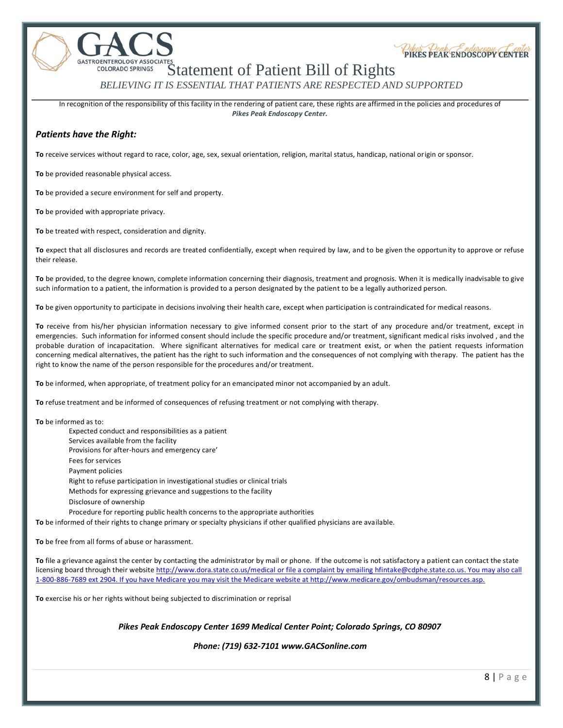GASTROENTEROLOGY ASSOCIATES<br>COLORADO SPRINGS Statement of Patient Bill of Rights *BELIEVING IT IS ESSENTIAL THAT PATIENTS ARE RESPECTED AND SUPPORTED*

In recognition of the responsibility of this facility in the rendering of patient care, these rights are affirmed in the policies and procedures of *Pikes Peak Endoscopy Center.*

#### *Patients have the Right:*

**To** receive services without regard to race, color, age, sex, sexual orientation, religion, marital status, handicap, national origin or sponsor.

**To** be provided reasonable physical access.

**To** be provided a secure environment for self and property.

**To** be provided with appropriate privacy.

**To** be treated with respect, consideration and dignity.

**To** expect that all disclosures and records are treated confidentially, except when required by law, and to be given the opportunity to approve or refuse their release.

**To** be provided, to the degree known, complete information concerning their diagnosis, treatment and prognosis. When it is medically inadvisable to give such information to a patient, the information is provided to a person designated by the patient to be a legally authorized person.

**To** be given opportunity to participate in decisions involving their health care, except when participation is contraindicated for medical reasons.

**To** receive from his/her physician information necessary to give informed consent prior to the start of any procedure and/or treatment, except in emergencies. Such information for informed consent should include the specific procedure and/or treatment, significant medical risks involved , and the probable duration of incapacitation. Where significant alternatives for medical care or treatment exist, or when the patient requests information concerning medical alternatives, the patient has the right to such information and the consequences of not complying with therapy. The patient has the right to know the name of the person responsible for the procedures and/or treatment.

**To** be informed, when appropriate, of treatment policy for an emancipated minor not accompanied by an adult.

**To** refuse treatment and be informed of consequences of refusing treatment or not complying with therapy.

**To** be informed as to:

Expected conduct and responsibilities as a patient Services available from the facility Provisions for after-hours and emergency care' Fees for services Payment policies Right to refuse participation in investigational studies or clinical trials Methods for expressing grievance and suggestions to the facility Disclosure of ownership Procedure for reporting public health concerns to the appropriate authorities

**To** be informed of their rights to change primary or specialty physicians if other qualified physicians are available.

**To** be free from all forms of abuse or harassment.

**To** file a grievance against the center by contacting the administrator by mail or phone. If the outcome is not satisfactory a patient can contact the state licensing board through their website<http://www.dora.state.co.us/medical> or file a complaint by emailing [hfintake@cdphe.state.co.us.](mailto:hfintake@cdphe.state.co.us) You may also call 1-800-886-7689 ext 2904. If you have Medicare you may visit the Medicare website at http://www.medicare.gov/ombudsman/resources.asp.

**To** exercise his or her rights without being subjected to discrimination or reprisal

*Pikes Peak Endoscopy Center 1699 Medical Center Point; Colorado Springs, CO 80907* 

*Phone: (719) 632-7101 www.GACSonline.com*

Pikes Peak ENDOSCOPY CENTER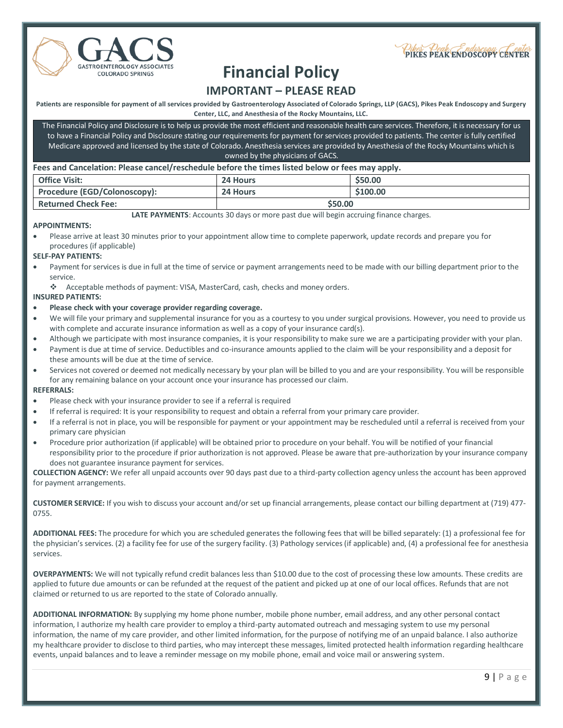



# **Financial Policy**

### **IMPORTANT – PLEASE READ**

**Patients are responsible for payment of all services provided by Gastroenterology Associated of Colorado Springs, LLP (GACS), Pikes Peak Endoscopy and Surgery Center, LLC, and Anesthesia of the Rocky Mountains, LLC.**

The Financial Policy and Disclosure is to help us provide the most efficient and reasonable health care services. Therefore, it is necessary for us to have a Financial Policy and Disclosure stating our requirements for payment for services provided to patients. The center is fully certified Medicare approved and licensed by the state of Colorado. Anesthesia services are provided by Anesthesia of the Rocky Mountains which is owned by the physicians of GACS.

#### **Fees and Cancelation: Please cancel/reschedule before the times listed below or fees may apply.**

| <b>Office Visit:</b>         | 24 Hours | \$50.00  |
|------------------------------|----------|----------|
| Procedure (EGD/Colonoscopy): | 24 Hours | \$100.00 |
| <b>Returned Check Fee:</b>   | \$50.00  |          |

**LATE PAYMENTS**: Accounts 30 days or more past due will begin accruing finance charges.

#### **APPOINTMENTS:**

• Please arrive at least 30 minutes prior to your appointment allow time to complete paperwork, update records and prepare you for procedures (if applicable)

#### **SELF-PAY PATIENTS:**

Payment for services is due in full at the time of service or payment arrangements need to be made with our billing department prior to the service.

❖ Acceptable methods of payment: VISA, MasterCard, cash, checks and money orders.

#### **INSURED PATIENTS:**

- **Please check with your coverage provider regarding coverage.**
- We will file your primary and supplemental insurance for you as a courtesy to you under surgical provisions. However, you need to provide us with complete and accurate insurance information as well as a copy of your insurance card(s).
- Although we participate with most insurance companies, it is your responsibility to make sure we are a participating provider with your plan.
- Payment is due at time of service. Deductibles and co-insurance amounts applied to the claim will be your responsibility and a deposit for these amounts will be due at the time of service.
- Services not covered or deemed not medically necessary by your plan will be billed to you and are your responsibility. You will be responsible for any remaining balance on your account once your insurance has processed our claim.

#### **REFERRALS:**

- Please check with your insurance provider to see if a referral is required
- If referral is required: It is your responsibility to request and obtain a referral from your primary care provider.
- If a referral is not in place, you will be responsible for payment or your appointment may be rescheduled until a referral is received from your primary care physician
- Procedure prior authorization (if applicable) will be obtained prior to procedure on your behalf. You will be notified of your financial responsibility prior to the procedure if prior authorization is not approved. Please be aware that pre-authorization by your insurance company does not guarantee insurance payment for services.

**COLLECTION AGENCY:** We refer all unpaid accounts over 90 days past due to a third-party collection agency unless the account has been approved for payment arrangements.

**CUSTOMER SERVICE:** If you wish to discuss your account and/or set up financial arrangements, please contact our billing department at (719) 477- 0755.

**ADDITIONAL FEES:** The procedure for which you are scheduled generates the following fees that will be billed separately: (1) a professional fee for the physician's services. (2) a facility fee for use of the surgery facility. (3) Pathology services (if applicable) and, (4) a professional fee for anesthesia services.

**OVERPAYMENTS:** We will not typically refund credit balances less than \$10.00 due to the cost of processing these low amounts. These credits are applied to future due amounts or can be refunded at the request of the patient and picked up at one of our local offices. Refunds that are not claimed or returned to us are reported to the state of Colorado annually.

**ADDITIONAL INFORMATION:** By supplying my home phone number, mobile phone number, email address, and any other personal contact information, I authorize my health care provider to employ a third-party automated outreach and messaging system to use my personal information, the name of my care provider, and other limited information, for the purpose of notifying me of an unpaid balance. I also authorize my healthcare provider to disclose to third parties, who may intercept these messages, limited protected health information regarding healthcare events, unpaid balances and to leave a reminder message on my mobile phone, email and voice mail or answering system.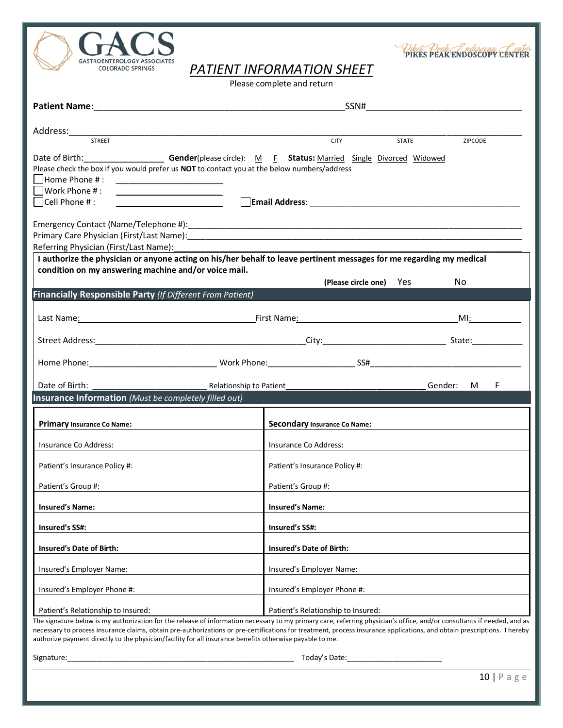

Pikes Peak Endoscopy Center

*PATIENT INFORMATION SHEET*

Please complete and return

| <b>STREET</b>                                                                                                                                                                                                                                                                                                                                                                                                                                                   | <b>CITY</b><br><b>STATE</b>        | ZIPCODE                |
|-----------------------------------------------------------------------------------------------------------------------------------------------------------------------------------------------------------------------------------------------------------------------------------------------------------------------------------------------------------------------------------------------------------------------------------------------------------------|------------------------------------|------------------------|
| Date of Birth: _________________________Gender(please circle): M_________________ Status: Married Single Divorced Widowed<br>Please check the box if you would prefer us NOT to contact you at the below numbers/address<br>  Home Phone # :<br>$\Box$ Work Phone #:                                                                                                                                                                                            |                                    |                        |
| <u> 1989 - Andrea Andrew Maria (b. 1989)</u><br>$\Box$ Cell Phone # :                                                                                                                                                                                                                                                                                                                                                                                           |                                    |                        |
| Referring Physician (First/Last Name):<br>I authorize the physician or anyone acting on his/her behalf to leave pertinent messages for me regarding my medical<br>condition on my answering machine and/or voice mail.                                                                                                                                                                                                                                          |                                    |                        |
|                                                                                                                                                                                                                                                                                                                                                                                                                                                                 | (Please circle one) Yes            | No.                    |
| <b>Financially Responsible Party (If Different From Patient)</b>                                                                                                                                                                                                                                                                                                                                                                                                |                                    |                        |
|                                                                                                                                                                                                                                                                                                                                                                                                                                                                 |                                    | $M!$ : $\qquad \qquad$ |
|                                                                                                                                                                                                                                                                                                                                                                                                                                                                 |                                    |                        |
|                                                                                                                                                                                                                                                                                                                                                                                                                                                                 |                                    |                        |
| Date of Birth:                                                                                                                                                                                                                                                                                                                                                                                                                                                  |                                    | F<br>Gender: M         |
| <b>Insurance Information</b> (Must be completely filled out)                                                                                                                                                                                                                                                                                                                                                                                                    |                                    |                        |
| Primary Insurance Co Name:                                                                                                                                                                                                                                                                                                                                                                                                                                      | Secondary Insurance Co Name:       |                        |
| Insurance Co Address:                                                                                                                                                                                                                                                                                                                                                                                                                                           | Insurance Co Address:              |                        |
| Patient's Insurance Policy #:                                                                                                                                                                                                                                                                                                                                                                                                                                   | Patient's Insurance Policy #:      |                        |
| Patient's Group #:                                                                                                                                                                                                                                                                                                                                                                                                                                              | Patient's Group #:                 |                        |
| <b>Insured's Name:</b>                                                                                                                                                                                                                                                                                                                                                                                                                                          | <b>Insured's Name:</b>             |                        |
| <b>Insured's SS#:</b>                                                                                                                                                                                                                                                                                                                                                                                                                                           | Insured's SS#:                     |                        |
| Insured's Date of Birth:                                                                                                                                                                                                                                                                                                                                                                                                                                        | <b>Insured's Date of Birth:</b>    |                        |
| Insured's Employer Name:                                                                                                                                                                                                                                                                                                                                                                                                                                        | Insured's Employer Name:           |                        |
| Insured's Employer Phone #:                                                                                                                                                                                                                                                                                                                                                                                                                                     | Insured's Employer Phone #:        |                        |
| Patient's Relationship to Insured:                                                                                                                                                                                                                                                                                                                                                                                                                              | Patient's Relationship to Insured: |                        |
| The signature below is my authorization for the release of information necessary to my primary care, referring physician's office, and/or consultants if needed, and as<br>necessary to process insurance claims, obtain pre-authorizations or pre-certifications for treatment, process insurance applications, and obtain prescriptions. I hereby<br>authorize payment directly to the physician/facility for all insurance benefits otherwise payable to me. |                                    |                        |
| Signature:                                                                                                                                                                                                                                                                                                                                                                                                                                                      | Today's Date:                      |                        |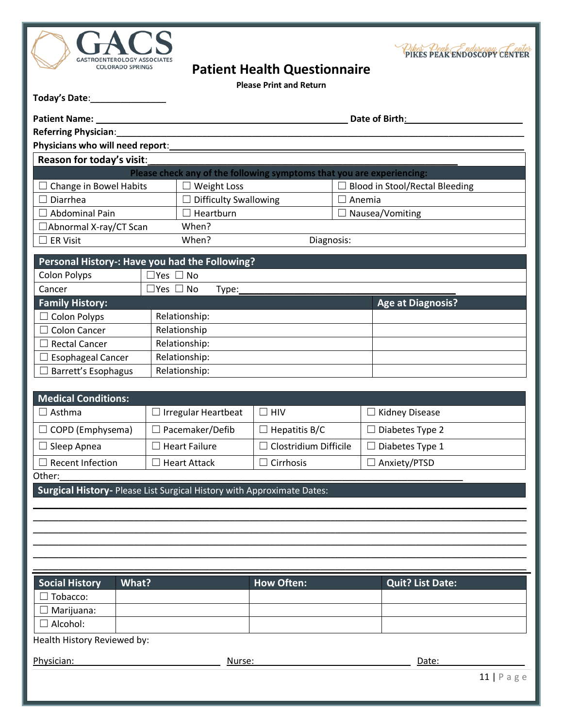



| Today's Date: |  |
|---------------|--|
|               |  |

| <b>GASTROENTEROLOGY ASSOCIATES</b>                                     |                      |                                                                       |                                     |               | PIKES PEAK ENDOSCOPY CENTEI           |
|------------------------------------------------------------------------|----------------------|-----------------------------------------------------------------------|-------------------------------------|---------------|---------------------------------------|
| <b>COLORADO SPRINGS</b>                                                |                      |                                                                       | <b>Patient Health Questionnaire</b> |               |                                       |
|                                                                        |                      |                                                                       | <b>Please Print and Return</b>      |               |                                       |
| Today's Date:_____                                                     |                      |                                                                       |                                     |               |                                       |
| <b>Patient Name:</b>                                                   |                      |                                                                       |                                     |               | Date of Birth:                        |
| Referring Physician:                                                   |                      |                                                                       |                                     |               |                                       |
| Physicians who will need report:                                       |                      |                                                                       |                                     |               |                                       |
| Reason for today's visit:                                              |                      |                                                                       |                                     |               |                                       |
|                                                                        |                      | Please check any of the following symptoms that you are experiencing: |                                     |               |                                       |
| $\Box$ Change in Bowel Habits                                          |                      | $\Box$ Weight Loss                                                    |                                     |               | <b>Blood in Stool/Rectal Bleeding</b> |
| Diarrhea                                                               |                      | $\Box$ Difficulty Swallowing                                          |                                     | $\Box$ Anemia |                                       |
| $\Box$ Abdominal Pain                                                  |                      | $\Box$ Heartburn                                                      |                                     |               | Nausea/Vomiting                       |
| $\Box$ Abnormal X-ray/CT Scan                                          |                      | When?                                                                 |                                     |               |                                       |
| $\Box$ ER Visit                                                        |                      | When?                                                                 | Diagnosis:                          |               |                                       |
| Personal History-: Have you had the Following?                         |                      |                                                                       |                                     |               |                                       |
| <b>Colon Polyps</b>                                                    | $\Box$ Yes $\Box$ No |                                                                       |                                     |               |                                       |
| Cancer                                                                 | $\Box$ Yes $\Box$ No | Type:                                                                 |                                     |               |                                       |
| <b>Family History:</b>                                                 |                      |                                                                       |                                     |               | <b>Age at Diagnosis?</b>              |
| $\Box$ Colon Polyps                                                    |                      | Relationship:                                                         |                                     |               |                                       |
| $\Box$ Colon Cancer                                                    |                      | Relationship                                                          |                                     |               |                                       |
| $\Box$ Rectal Cancer                                                   |                      | Relationship:                                                         |                                     |               |                                       |
| $\Box$ Esophageal Cancer                                               |                      | Relationship:                                                         |                                     |               |                                       |
| $\Box$ Barrett's Esophagus                                             |                      | Relationship:                                                         |                                     |               |                                       |
|                                                                        |                      |                                                                       |                                     |               |                                       |
| <b>Medical Conditions:</b>                                             |                      |                                                                       |                                     |               |                                       |
| $\Box$ Asthma                                                          |                      | $\Box$ Irregular Heartbeat                                            | $\Box$ HIV                          |               | <b>Kidney Disease</b>                 |
| $\Box$ COPD (Emphysema)                                                |                      | $\Box$ Pacemaker/Defib                                                | $\Box$ Hepatitis B/C                |               | $\Box$ Diabetes Type 2                |
| $\Box$ Sleep Apnea                                                     |                      | $\Box$ Heart Failure                                                  | $\Box$ Clostridium Difficile        |               | $\Box$ Diabetes Type 1                |
| $\exists$ Recent Infection                                             |                      | <b>Heart Attack</b>                                                   | Cirrhosis                           |               | □ Anxiety/PTSD                        |
| Other:                                                                 |                      |                                                                       |                                     |               |                                       |
| Surgical History- Please List Surgical History with Approximate Dates: |                      |                                                                       |                                     |               |                                       |
|                                                                        |                      |                                                                       |                                     |               |                                       |
|                                                                        |                      |                                                                       |                                     |               |                                       |
|                                                                        |                      |                                                                       |                                     |               |                                       |
|                                                                        |                      |                                                                       |                                     |               |                                       |
|                                                                        |                      |                                                                       |                                     |               |                                       |
| <b>Social History</b><br>What?                                         |                      |                                                                       | <b>How Often:</b>                   |               | <b>Quit? List Date:</b>               |
| Tobacco:                                                               |                      |                                                                       |                                     |               |                                       |
| $\Box$ Marijuana:                                                      |                      |                                                                       |                                     |               |                                       |
| $\Box$ Alcohol:                                                        |                      |                                                                       |                                     |               |                                       |

Health History Reviewed by:

| Physician: | ur c<br>. IN L.<br>$\mathbf{H}$ | Date |
|------------|---------------------------------|------|
|            |                                 |      |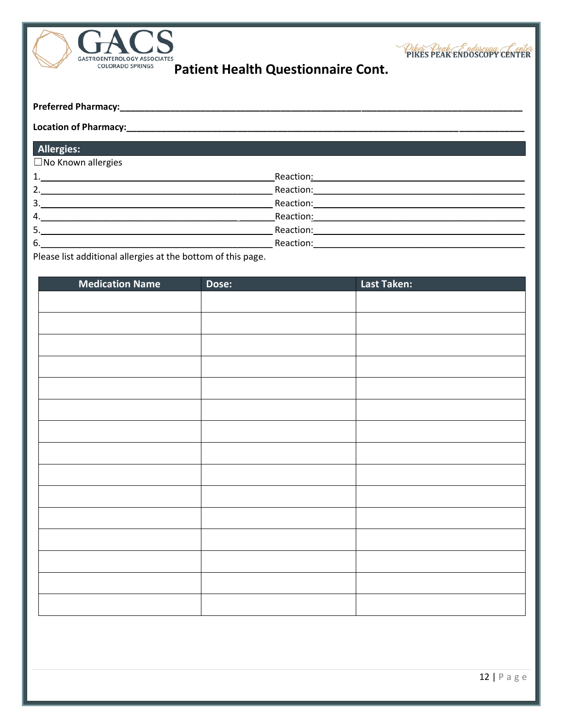

Other Deak Endoscopy CENTER

Patient Health Questionnaire Cont.

|  | <b>Preferred Pharmacy:</b> |  |
|--|----------------------------|--|
|--|----------------------------|--|

#### **Location of Pharmacy:**

| <b>Allergies:</b>    |                                                                                                                                                                                                                               |
|----------------------|-------------------------------------------------------------------------------------------------------------------------------------------------------------------------------------------------------------------------------|
| □ No Known allergies |                                                                                                                                                                                                                               |
| 1.                   | Reaction:                                                                                                                                                                                                                     |
| 2.                   | Reaction:                                                                                                                                                                                                                     |
| 3.                   | Reaction: The contract of the contract of the contract of the contract of the contract of the contract of the contract of the contract of the contract of the contract of the contract of the contract of the contract of the |
| 4.                   | Reaction:                                                                                                                                                                                                                     |
| 5.                   | Reaction:                                                                                                                                                                                                                     |
| 6.                   | Reaction:                                                                                                                                                                                                                     |

Please list additional allergies at the bottom of this page.

| <b>Medication Name</b> | Dose: | Last Taken: |
|------------------------|-------|-------------|
|                        |       |             |
|                        |       |             |
|                        |       |             |
|                        |       |             |
|                        |       |             |
|                        |       |             |
|                        |       |             |
|                        |       |             |
|                        |       |             |
|                        |       |             |
|                        |       |             |
|                        |       |             |
|                        |       |             |
|                        |       |             |
|                        |       |             |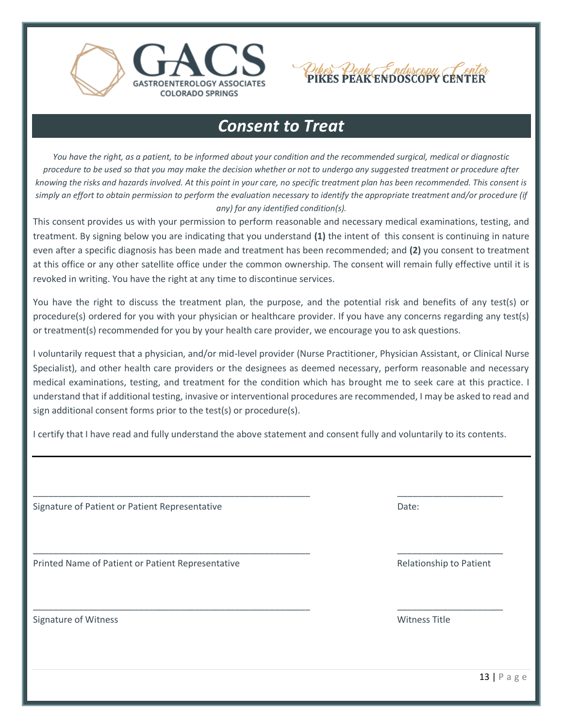



## *Consent to Treat*

*You have the right, as a patient, to be informed about your condition and the recommended surgical, medical or diagnostic procedure to be used so that you may make the decision whether or not to undergo any suggested treatment or procedure after knowing the risks and hazards involved. At this point in your care, no specific treatment plan has been recommended. This consent is simply an effort to obtain permission to perform the evaluation necessary to identify the appropriate treatment and/or procedure (if any) for any identified condition(s).*

This consent provides us with your permission to perform reasonable and necessary medical examinations, testing, and treatment. By signing below you are indicating that you understand **(1)** the intent of this consent is continuing in nature even after a specific diagnosis has been made and treatment has been recommended; and **(2)** you consent to treatment at this office or any other satellite office under the common ownership. The consent will remain fully effective until it is revoked in writing. You have the right at any time to discontinue services.

You have the right to discuss the treatment plan, the purpose, and the potential risk and benefits of any test(s) or procedure(s) ordered for you with your physician or healthcare provider. If you have any concerns regarding any test(s) or treatment(s) recommended for you by your health care provider, we encourage you to ask questions.

I voluntarily request that a physician, and/or mid-level provider (Nurse Practitioner, Physician Assistant, or Clinical Nurse Specialist), and other health care providers or the designees as deemed necessary, perform reasonable and necessary medical examinations, testing, and treatment for the condition which has brought me to seek care at this practice. I understand that if additional testing, invasive or interventional procedures are recommended, I may be asked to read and sign additional consent forms prior to the test(s) or procedure(s).

I certify that I have read and fully understand the above statement and consent fully and voluntarily to its contents.

\_\_\_\_\_\_\_\_\_\_\_\_\_\_\_\_\_\_\_\_\_\_\_\_\_\_\_\_\_\_\_\_\_\_\_\_\_\_\_\_\_\_\_\_\_\_\_\_\_\_\_\_\_\_\_ \_\_\_\_\_\_\_\_\_\_\_\_\_\_\_\_\_\_\_\_\_

\_\_\_\_\_\_\_\_\_\_\_\_\_\_\_\_\_\_\_\_\_\_\_\_\_\_\_\_\_\_\_\_\_\_\_\_\_\_\_\_\_\_\_\_\_\_\_\_\_\_\_\_\_\_\_ \_\_\_\_\_\_\_\_\_\_\_\_\_\_\_\_\_\_\_\_\_

\_\_\_\_\_\_\_\_\_\_\_\_\_\_\_\_\_\_\_\_\_\_\_\_\_\_\_\_\_\_\_\_\_\_\_\_\_\_\_\_\_\_\_\_\_\_\_\_\_\_\_\_\_\_\_ \_\_\_\_\_\_\_\_\_\_\_\_\_\_\_\_\_\_\_\_\_

Signature of Patient or Patient Representative **Date:** Date:

Printed Name of Patient or Patient Representative **Relationship to Patient** Relationship to Patient

Signature of Witness **Witness Witness State Act 2006** Signature of Witness Title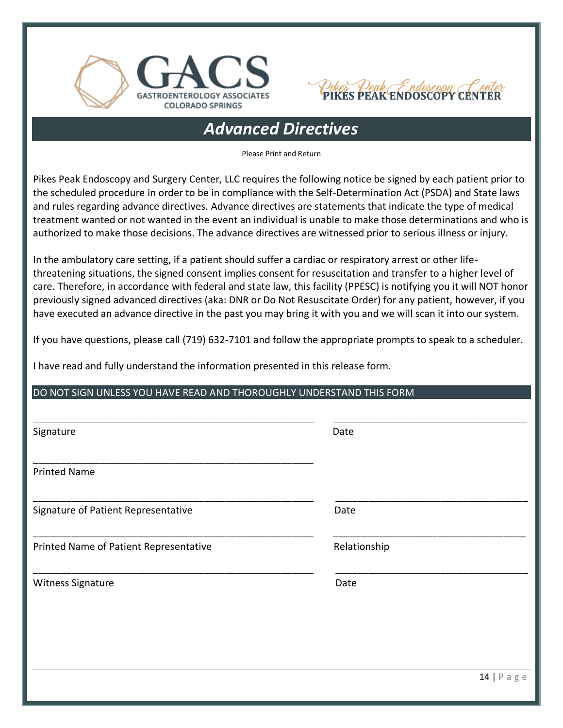



# *Advanced Directives*

Please Print and Return

Pikes Peak Endoscopy and Surgery Center, LLC requires the following notice be signed by each patient prior to the scheduled procedure in order to be in compliance with the Self-Determination Act (PSDA) and State laws and rules regarding advance directives. Advance directives are statements that indicate the type of medical treatment wanted or not wanted in the event an individual is unable to make those determinations and who is authorized to make those decisions. The advance directives are witnessed prior to serious illness or injury.

In the ambulatory care setting, if a patient should suffer a cardiac or respiratory arrest or other lifethreatening situations, the signed consent implies consent for resuscitation and transfer to a higher level of care. Therefore, in accordance with federal and state law, this facility (PPESC) is notifying you it will NOT honor previously signed advanced directives (aka: DNR or Do Not Resuscitate Order) for any patient, however, if you have executed an advance directive in the past you may bring it with you and we will scan it into our system.

If you have questions, please call (719) 632-7101 and follow the appropriate prompts to speak to a scheduler.

I have read and fully understand the information presented in this release form.

#### DO NOT SIGN UNLESS YOU HAVE READ AND THOROUGHLY UNDERSTAND THIS FORM

| Signature                              | Date         |
|----------------------------------------|--------------|
| <b>Printed Name</b>                    |              |
| Signature of Patient Representative    | Date         |
| Printed Name of Patient Representative | Relationship |
| Witness Signature                      | Date         |
|                                        |              |
|                                        |              |